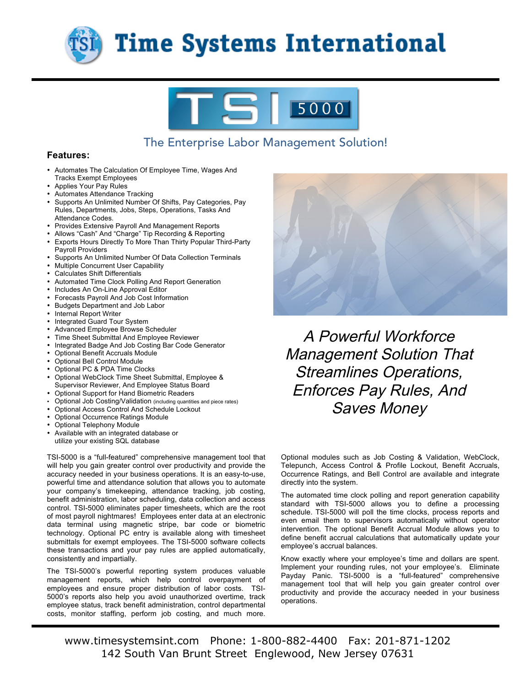

## **Time Systems International**



### The Enterprise Labor Management Solution!

#### **Features:**

- Automates The Calculation Of Employee Time, Wages And Tracks Exempt Employees
- Applies Your Pay Rules
- Automates Attendance Tracking
- Supports An Unlimited Number Of Shifts, Pay Categories, Pay Rules, Departments, Jobs, Steps, Operations, Tasks And Attendance Codes.
- Provides Extensive Payroll And Management Reports
- Allows "Cash" And "Charge" Tip Recording & Reporting
- Exports Hours Directly To More Than Thirty Popular Third-Party Payroll Providers
- Supports An Unlimited Number Of Data Collection Terminals
- Multiple Concurrent User Capability
- Calculates Shift Differentials
- Automated Time Clock Polling And Report Generation
- Includes An On-Line Approval Editor
- Forecasts Payroll And Job Cost Information
- Budgets Department and Job Labor
- Internal Report Writer
- Integrated Guard Tour System
- Advanced Employee Browse Scheduler
- Time Sheet Submittal And Employee Reviewer
- Integrated Badge And Job Costing Bar Code Generator
- Optional Benefit Accruals Module
- Optional Bell Control Module
- Optional PC & PDA Time Clocks
- Optional WebClock Time Sheet Submittal, Employee & Supervisor Reviewer, And Employee Status Board
- Optional Support for Hand Biometric Readers
- Optional Job Costing/Validation (including quantities and piece rates)
- Optional Access Control And Schedule Lockout
- Optional Occurrence Ratings Module
- Optional Telephony Module
- Available with an integrated database or utilize your existing SQL database

TSI-5000 is a "full-featured" comprehensive management tool that will help you gain greater control over productivity and provide the accuracy needed in your business operations. It is an easy-to-use, powerful time and attendance solution that allows you to automate your company's timekeeping, attendance tracking, job costing, benefit administration, labor scheduling, data collection and access control. TSI-5000 eliminates paper timesheets, which are the root of most payroll nightmares! Employees enter data at an electronic data terminal using magnetic stripe, bar code or biometric technology. Optional PC entry is available along with timesheet submittals for exempt employees. The TSI-5000 software collects these transactions and your pay rules are applied automatically, consistently and impartially.

The TSI-5000's powerful reporting system produces valuable management reports, which help control overpayment of employees and ensure proper distribution of labor costs. TSI-5000's reports also help you avoid unauthorized overtime, track employee status, track benefit administration, control departmental costs, monitor staffing, perform job costing, and much more.



A Powerful Workforce Management Solution That Streamlines Operations, Enforces Pay Rules, And Saves Money

Optional modules such as Job Costing & Validation, WebClock, Telepunch, Access Control & Profile Lockout, Benefit Accruals, Occurrence Ratings, and Bell Control are available and integrate directly into the system.

The automated time clock polling and report generation capability standard with TSI-5000 allows you to define a processing schedule. TSI-5000 will poll the time clocks, process reports and even email them to supervisors automatically without operator intervention. The optional Benefit Accrual Module allows you to define benefit accrual calculations that automatically update your employee's accrual balances.

Know exactly where your employee's time and dollars are spent. Implement your rounding rules, not your employee's. Eliminate Payday Panic. TSI-5000 is a "full-featured" comprehensive management tool that will help you gain greater control over productivity and provide the accuracy needed in your business operations.

www.timesystemsint.com Phone: 1-800-882-4400 Fax: 201-871-1202 142 South Van Brunt Street Englewood, New Jersey 07631